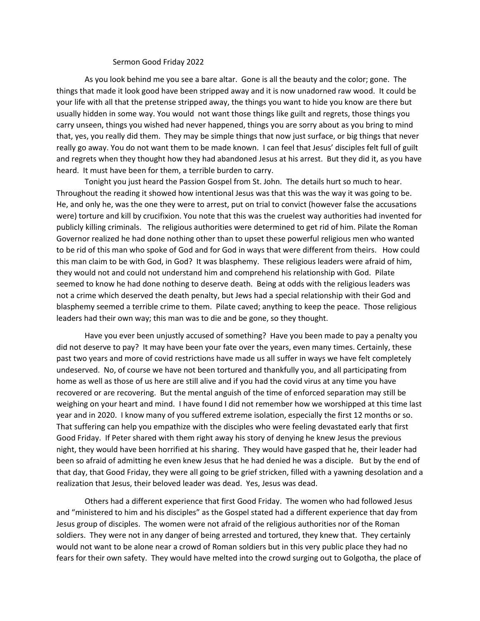## Sermon Good Friday 2022

As you look behind me you see a bare altar. Gone is all the beauty and the color; gone. The things that made it look good have been stripped away and it is now unadorned raw wood. It could be your life with all that the pretense stripped away, the things you want to hide you know are there but usually hidden in some way. You would not want those things like guilt and regrets, those things you carry unseen, things you wished had never happened, things you are sorry about as you bring to mind that, yes, you really did them. They may be simple things that now just surface, or big things that never really go away. You do not want them to be made known. I can feel that Jesus' disciples felt full of guilt and regrets when they thought how they had abandoned Jesus at his arrest. But they did it, as you have heard. It must have been for them, a terrible burden to carry.

Tonight you just heard the Passion Gospel from St. John. The details hurt so much to hear. Throughout the reading it showed how intentional Jesus was that this was the way it was going to be. He, and only he, was the one they were to arrest, put on trial to convict (however false the accusations were) torture and kill by crucifixion. You note that this was the cruelest way authorities had invented for publicly killing criminals. The religious authorities were determined to get rid of him. Pilate the Roman Governor realized he had done nothing other than to upset these powerful religious men who wanted to be rid of this man who spoke of God and for God in ways that were different from theirs. How could this man claim to be with God, in God? It was blasphemy. These religious leaders were afraid of him, they would not and could not understand him and comprehend his relationship with God. Pilate seemed to know he had done nothing to deserve death. Being at odds with the religious leaders was not a crime which deserved the death penalty, but Jews had a special relationship with their God and blasphemy seemed a terrible crime to them. Pilate caved; anything to keep the peace. Those religious leaders had their own way; this man was to die and be gone, so they thought.

Have you ever been unjustly accused of something? Have you been made to pay a penalty you did not deserve to pay? It may have been your fate over the years, even many times. Certainly, these past two years and more of covid restrictions have made us all suffer in ways we have felt completely undeserved. No, of course we have not been tortured and thankfully you, and all participating from home as well as those of us here are still alive and if you had the covid virus at any time you have recovered or are recovering. But the mental anguish of the time of enforced separation may still be weighing on your heart and mind. I have found I did not remember how we worshipped at this time last year and in 2020. I know many of you suffered extreme isolation, especially the first 12 months or so. That suffering can help you empathize with the disciples who were feeling devastated early that first Good Friday. If Peter shared with them right away his story of denying he knew Jesus the previous night, they would have been horrified at his sharing. They would have gasped that he, their leader had been so afraid of admitting he even knew Jesus that he had denied he was a disciple. But by the end of that day, that Good Friday, they were all going to be grief stricken, filled with a yawning desolation and a realization that Jesus, their beloved leader was dead. Yes, Jesus was dead.

Others had a different experience that first Good Friday. The women who had followed Jesus and "ministered to him and his disciples" as the Gospel stated had a different experience that day from Jesus group of disciples. The women were not afraid of the religious authorities nor of the Roman soldiers. They were not in any danger of being arrested and tortured, they knew that. They certainly would not want to be alone near a crowd of Roman soldiers but in this very public place they had no fears for their own safety. They would have melted into the crowd surging out to Golgotha, the place of